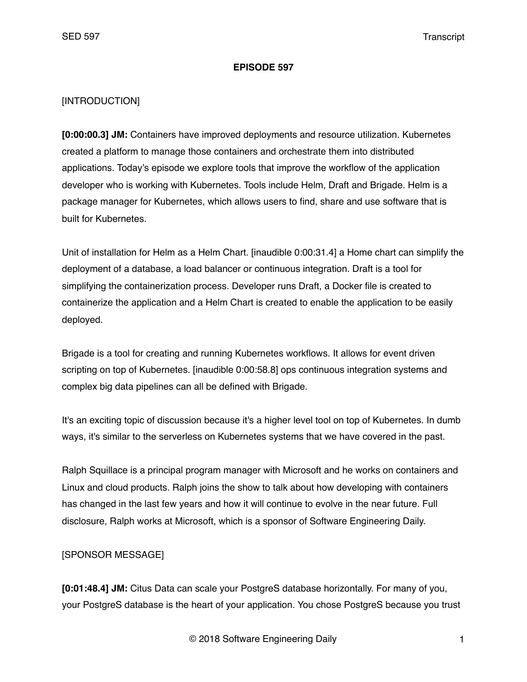#### **EPISODE 597**

## [INTRODUCTION]

**[0:00:00.3] JM:** Containers have improved deployments and resource utilization. Kubernetes created a platform to manage those containers and orchestrate them into distributed applications. Today's episode we explore tools that improve the workflow of the application developer who is working with Kubernetes. Tools include Helm, Draft and Brigade. Helm is a package manager for Kubernetes, which allows users to find, share and use software that is built for Kubernetes.

Unit of installation for Helm as a Helm Chart. [inaudible 0:00:31.4] a Home chart can simplify the deployment of a database, a load balancer or continuous integration. Draft is a tool for simplifying the containerization process. Developer runs Draft, a Docker file is created to containerize the application and a Helm Chart is created to enable the application to be easily deployed.

Brigade is a tool for creating and running Kubernetes workflows. It allows for event driven scripting on top of Kubernetes. [inaudible 0:00:58.8] ops continuous integration systems and complex big data pipelines can all be defined with Brigade.

It's an exciting topic of discussion because it's a higher level tool on top of Kubernetes. In dumb ways, it's similar to the serverless on Kubernetes systems that we have covered in the past.

Ralph Squillace is a principal program manager with Microsoft and he works on containers and Linux and cloud products. Ralph joins the show to talk about how developing with containers has changed in the last few years and how it will continue to evolve in the near future. Full disclosure, Ralph works at Microsoft, which is a sponsor of Software Engineering Daily.

# [SPONSOR MESSAGE]

**[0:01:48.4] JM:** Citus Data can scale your PostgreS database horizontally. For many of you, your PostgreS database is the heart of your application. You chose PostgreS because you trust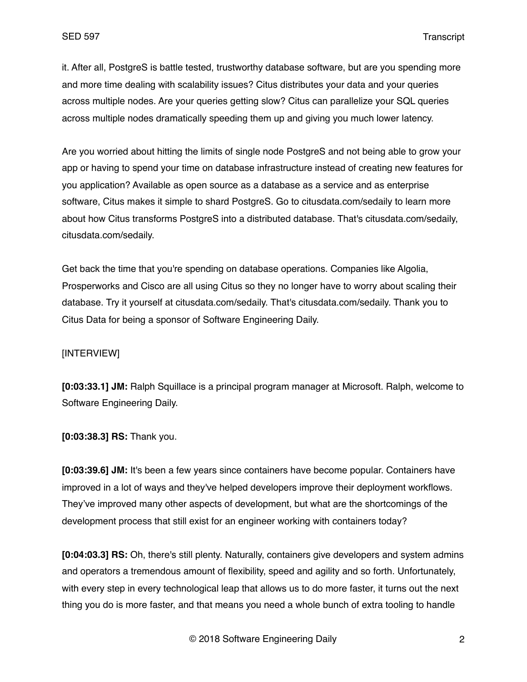it. After all, PostgreS is battle tested, trustworthy database software, but are you spending more and more time dealing with scalability issues? Citus distributes your data and your queries across multiple nodes. Are your queries getting slow? Citus can parallelize your SQL queries across multiple nodes dramatically speeding them up and giving you much lower latency.

Are you worried about hitting the limits of single node PostgreS and not being able to grow your app or having to spend your time on database infrastructure instead of creating new features for you application? Available as open source as a database as a service and as enterprise software, Citus makes it simple to shard PostgreS. Go to citusdata.com/sedaily to learn more about how Citus transforms PostgreS into a distributed database. That's citusdata.com/sedaily, citusdata.com/sedaily.

Get back the time that you're spending on database operations. Companies like Algolia, Prosperworks and Cisco are all using Citus so they no longer have to worry about scaling their database. Try it yourself at citusdata.com/sedaily. That's citusdata.com/sedaily. Thank you to Citus Data for being a sponsor of Software Engineering Daily.

## [INTERVIEW]

**[0:03:33.1] JM:** Ralph Squillace is a principal program manager at Microsoft. Ralph, welcome to Software Engineering Daily.

**[0:03:38.3] RS:** Thank you.

**[0:03:39.6] JM:** It's been a few years since containers have become popular. Containers have improved in a lot of ways and they've helped developers improve their deployment workflows. They've improved many other aspects of development, but what are the shortcomings of the development process that still exist for an engineer working with containers today?

**[0:04:03.3] RS:** Oh, there's still plenty. Naturally, containers give developers and system admins and operators a tremendous amount of flexibility, speed and agility and so forth. Unfortunately, with every step in every technological leap that allows us to do more faster, it turns out the next thing you do is more faster, and that means you need a whole bunch of extra tooling to handle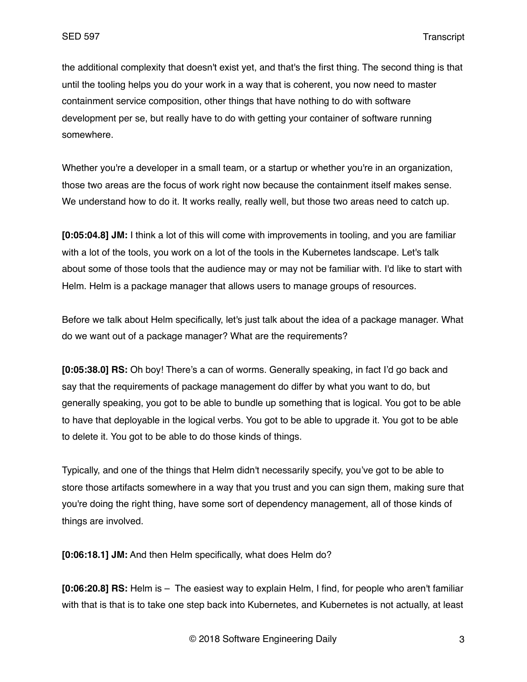the additional complexity that doesn't exist yet, and that's the first thing. The second thing is that until the tooling helps you do your work in a way that is coherent, you now need to master containment service composition, other things that have nothing to do with software development per se, but really have to do with getting your container of software running somewhere.

Whether you're a developer in a small team, or a startup or whether you're in an organization, those two areas are the focus of work right now because the containment itself makes sense. We understand how to do it. It works really, really well, but those two areas need to catch up.

**[0:05:04.8] JM:** I think a lot of this will come with improvements in tooling, and you are familiar with a lot of the tools, you work on a lot of the tools in the Kubernetes landscape. Let's talk about some of those tools that the audience may or may not be familiar with. I'd like to start with Helm. Helm is a package manager that allows users to manage groups of resources.

Before we talk about Helm specifically, let's just talk about the idea of a package manager. What do we want out of a package manager? What are the requirements?

**[0:05:38.0] RS:** Oh boy! There's a can of worms. Generally speaking, in fact I'd go back and say that the requirements of package management do differ by what you want to do, but generally speaking, you got to be able to bundle up something that is logical. You got to be able to have that deployable in the logical verbs. You got to be able to upgrade it. You got to be able to delete it. You got to be able to do those kinds of things.

Typically, and one of the things that Helm didn't necessarily specify, you've got to be able to store those artifacts somewhere in a way that you trust and you can sign them, making sure that you're doing the right thing, have some sort of dependency management, all of those kinds of things are involved.

**[0:06:18.1] JM:** And then Helm specifically, what does Helm do?

**[0:06:20.8] RS:** Helm is – The easiest way to explain Helm, I find, for people who aren't familiar with that is that is to take one step back into Kubernetes, and Kubernetes is not actually, at least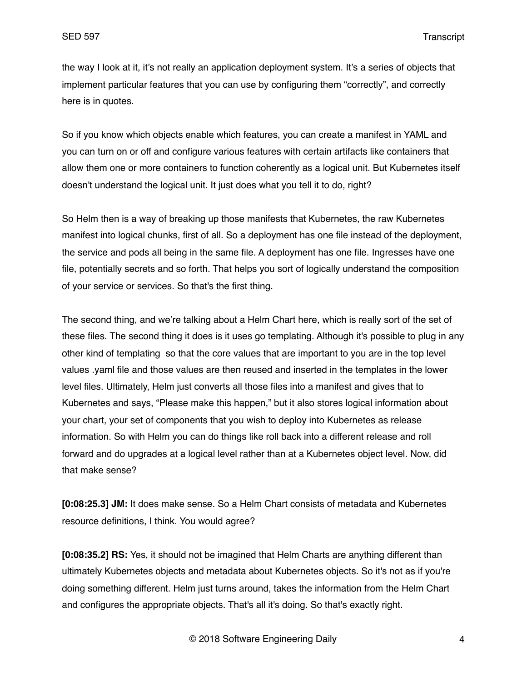the way I look at it, it's not really an application deployment system. It's a series of objects that implement particular features that you can use by configuring them "correctly", and correctly here is in quotes.

So if you know which objects enable which features, you can create a manifest in YAML and you can turn on or off and configure various features with certain artifacts like containers that allow them one or more containers to function coherently as a logical unit. But Kubernetes itself doesn't understand the logical unit. It just does what you tell it to do, right?

So Helm then is a way of breaking up those manifests that Kubernetes, the raw Kubernetes manifest into logical chunks, first of all. So a deployment has one file instead of the deployment, the service and pods all being in the same file. A deployment has one file. Ingresses have one file, potentially secrets and so forth. That helps you sort of logically understand the composition of your service or services. So that's the first thing.

The second thing, and we're talking about a Helm Chart here, which is really sort of the set of these files. The second thing it does is it uses go templating. Although it's possible to plug in any other kind of templating so that the core values that are important to you are in the top level values .yaml file and those values are then reused and inserted in the templates in the lower level files. Ultimately, Helm just converts all those files into a manifest and gives that to Kubernetes and says, "Please make this happen," but it also stores logical information about your chart, your set of components that you wish to deploy into Kubernetes as release information. So with Helm you can do things like roll back into a different release and roll forward and do upgrades at a logical level rather than at a Kubernetes object level. Now, did that make sense?

**[0:08:25.3] JM:** It does make sense. So a Helm Chart consists of metadata and Kubernetes resource definitions, I think. You would agree?

**[0:08:35.2] RS:** Yes, it should not be imagined that Helm Charts are anything different than ultimately Kubernetes objects and metadata about Kubernetes objects. So it's not as if you're doing something different. Helm just turns around, takes the information from the Helm Chart and configures the appropriate objects. That's all it's doing. So that's exactly right.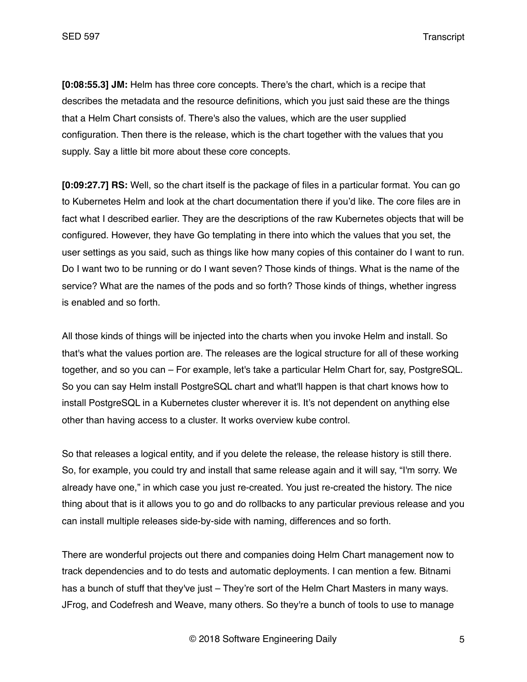**[0:08:55.3] JM:** Helm has three core concepts. There's the chart, which is a recipe that describes the metadata and the resource definitions, which you just said these are the things that a Helm Chart consists of. There's also the values, which are the user supplied configuration. Then there is the release, which is the chart together with the values that you supply. Say a little bit more about these core concepts.

**[0:09:27.7] RS:** Well, so the chart itself is the package of files in a particular format. You can go to Kubernetes Helm and look at the chart documentation there if you'd like. The core files are in fact what I described earlier. They are the descriptions of the raw Kubernetes objects that will be configured. However, they have Go templating in there into which the values that you set, the user settings as you said, such as things like how many copies of this container do I want to run. Do I want two to be running or do I want seven? Those kinds of things. What is the name of the service? What are the names of the pods and so forth? Those kinds of things, whether ingress is enabled and so forth.

All those kinds of things will be injected into the charts when you invoke Helm and install. So that's what the values portion are. The releases are the logical structure for all of these working together, and so you can – For example, let's take a particular Helm Chart for, say, PostgreSQL. So you can say Helm install PostgreSQL chart and what'll happen is that chart knows how to install PostgreSQL in a Kubernetes cluster wherever it is. It's not dependent on anything else other than having access to a cluster. It works overview kube control.

So that releases a logical entity, and if you delete the release, the release history is still there. So, for example, you could try and install that same release again and it will say, "I'm sorry. We already have one," in which case you just re-created. You just re-created the history. The nice thing about that is it allows you to go and do rollbacks to any particular previous release and you can install multiple releases side-by-side with naming, differences and so forth.

There are wonderful projects out there and companies doing Helm Chart management now to track dependencies and to do tests and automatic deployments. I can mention a few. Bitnami has a bunch of stuff that they've just – They're sort of the Helm Chart Masters in many ways. JFrog, and Codefresh and Weave, many others. So they're a bunch of tools to use to manage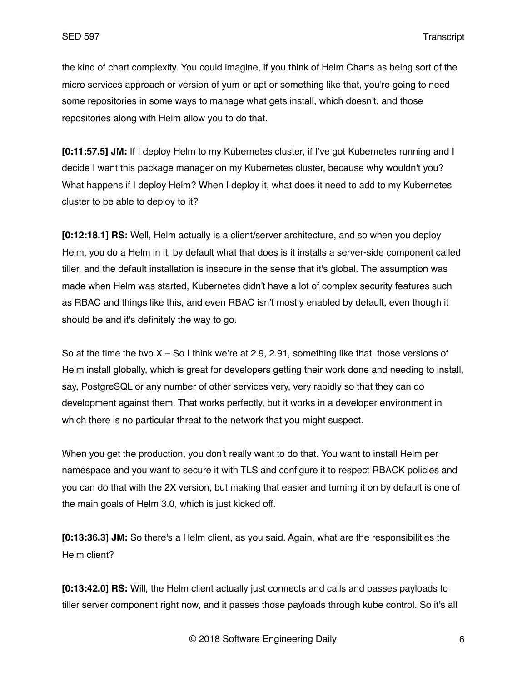the kind of chart complexity. You could imagine, if you think of Helm Charts as being sort of the micro services approach or version of yum or apt or something like that, you're going to need some repositories in some ways to manage what gets install, which doesn't, and those repositories along with Helm allow you to do that.

**[0:11:57.5] JM:** If I deploy Helm to my Kubernetes cluster, if I've got Kubernetes running and I decide I want this package manager on my Kubernetes cluster, because why wouldn't you? What happens if I deploy Helm? When I deploy it, what does it need to add to my Kubernetes cluster to be able to deploy to it?

**[0:12:18.1] RS:** Well, Helm actually is a client/server architecture, and so when you deploy Helm, you do a Helm in it, by default what that does is it installs a server-side component called tiller, and the default installation is insecure in the sense that it's global. The assumption was made when Helm was started, Kubernetes didn't have a lot of complex security features such as RBAC and things like this, and even RBAC isn't mostly enabled by default, even though it should be and it's definitely the way to go.

So at the time the two  $X -$  So I think we're at 2.9, 2.91, something like that, those versions of Helm install globally, which is great for developers getting their work done and needing to install, say, PostgreSQL or any number of other services very, very rapidly so that they can do development against them. That works perfectly, but it works in a developer environment in which there is no particular threat to the network that you might suspect.

When you get the production, you don't really want to do that. You want to install Helm per namespace and you want to secure it with TLS and configure it to respect RBACK policies and you can do that with the 2X version, but making that easier and turning it on by default is one of the main goals of Helm 3.0, which is just kicked off.

**[0:13:36.3] JM:** So there's a Helm client, as you said. Again, what are the responsibilities the Helm client?

**[0:13:42.0] RS:** Will, the Helm client actually just connects and calls and passes payloads to tiller server component right now, and it passes those payloads through kube control. So it's all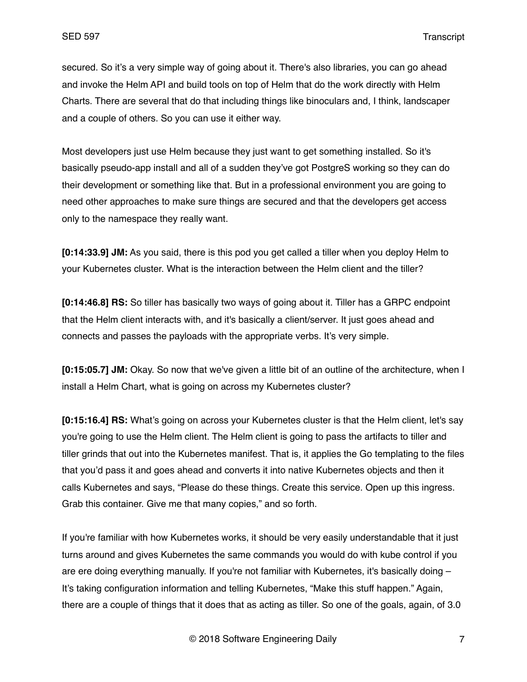secured. So it's a very simple way of going about it. There's also libraries, you can go ahead and invoke the Helm API and build tools on top of Helm that do the work directly with Helm Charts. There are several that do that including things like binoculars and, I think, landscaper and a couple of others. So you can use it either way.

Most developers just use Helm because they just want to get something installed. So it's basically pseudo-app install and all of a sudden they've got PostgreS working so they can do their development or something like that. But in a professional environment you are going to need other approaches to make sure things are secured and that the developers get access only to the namespace they really want.

**[0:14:33.9] JM:** As you said, there is this pod you get called a tiller when you deploy Helm to your Kubernetes cluster. What is the interaction between the Helm client and the tiller?

**[0:14:46.8] RS:** So tiller has basically two ways of going about it. Tiller has a GRPC endpoint that the Helm client interacts with, and it's basically a client/server. It just goes ahead and connects and passes the payloads with the appropriate verbs. It's very simple.

**[0:15:05.7] JM:** Okay. So now that we've given a little bit of an outline of the architecture, when I install a Helm Chart, what is going on across my Kubernetes cluster?

**[0:15:16.4] RS:** What's going on across your Kubernetes cluster is that the Helm client, let's say you're going to use the Helm client. The Helm client is going to pass the artifacts to tiller and tiller grinds that out into the Kubernetes manifest. That is, it applies the Go templating to the files that you'd pass it and goes ahead and converts it into native Kubernetes objects and then it calls Kubernetes and says, "Please do these things. Create this service. Open up this ingress. Grab this container. Give me that many copies," and so forth.

If you're familiar with how Kubernetes works, it should be very easily understandable that it just turns around and gives Kubernetes the same commands you would do with kube control if you are ere doing everything manually. If you're not familiar with Kubernetes, it's basically doing – It's taking configuration information and telling Kubernetes, "Make this stuff happen." Again, there are a couple of things that it does that as acting as tiller. So one of the goals, again, of 3.0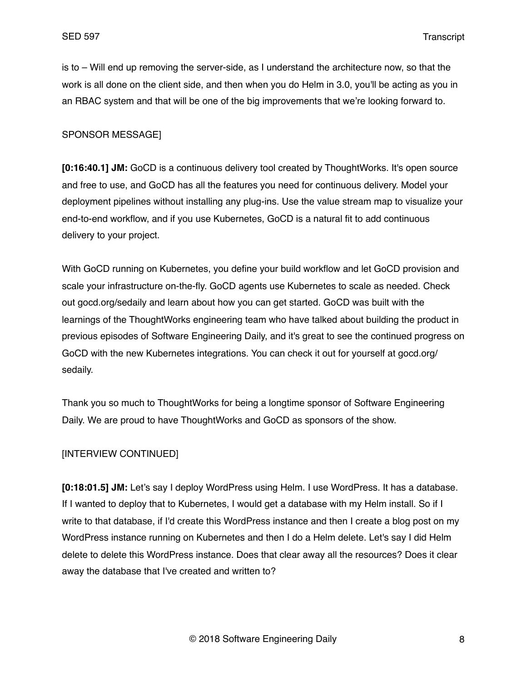is to – Will end up removing the server-side, as I understand the architecture now, so that the work is all done on the client side, and then when you do Helm in 3.0, you'll be acting as you in an RBAC system and that will be one of the big improvements that we're looking forward to.

#### SPONSOR MESSAGE]

**[0:16:40.1] JM:** GoCD is a continuous delivery tool created by ThoughtWorks. It's open source and free to use, and GoCD has all the features you need for continuous delivery. Model your deployment pipelines without installing any plug-ins. Use the value stream map to visualize your end-to-end workflow, and if you use Kubernetes, GoCD is a natural fit to add continuous delivery to your project.

With GoCD running on Kubernetes, you define your build workflow and let GoCD provision and scale your infrastructure on-the-fly. GoCD agents use Kubernetes to scale as needed. Check out gocd.org/sedaily and learn about how you can get started. GoCD was built with the learnings of the ThoughtWorks engineering team who have talked about building the product in previous episodes of Software Engineering Daily, and it's great to see the continued progress on GoCD with the new Kubernetes integrations. You can check it out for yourself at gocd.org/ sedaily.

Thank you so much to ThoughtWorks for being a longtime sponsor of Software Engineering Daily. We are proud to have ThoughtWorks and GoCD as sponsors of the show.

## [INTERVIEW CONTINUED]

**[0:18:01.5] JM:** Let's say I deploy WordPress using Helm. I use WordPress. It has a database. If I wanted to deploy that to Kubernetes, I would get a database with my Helm install. So if I write to that database, if I'd create this WordPress instance and then I create a blog post on my WordPress instance running on Kubernetes and then I do a Helm delete. Let's say I did Helm delete to delete this WordPress instance. Does that clear away all the resources? Does it clear away the database that I've created and written to?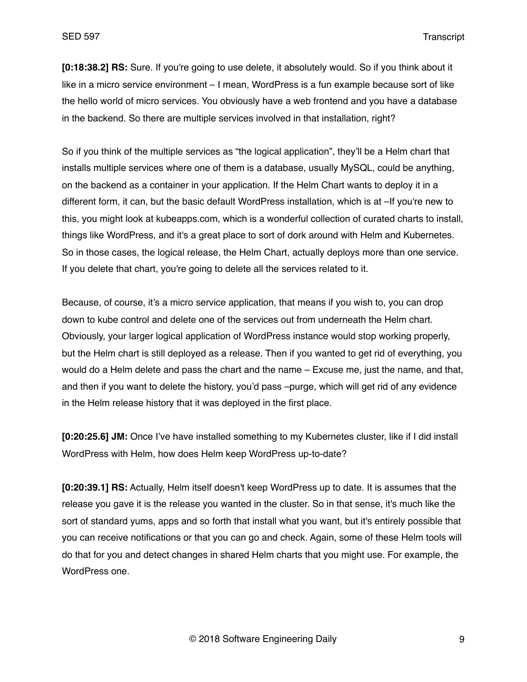**[0:18:38.2] RS:** Sure. If you're going to use delete, it absolutely would. So if you think about it like in a micro service environment – I mean, WordPress is a fun example because sort of like the hello world of micro services. You obviously have a web frontend and you have a database in the backend. So there are multiple services involved in that installation, right?

So if you think of the multiple services as "the logical application", they'll be a Helm chart that installs multiple services where one of them is a database, usually MySQL, could be anything, on the backend as a container in your application. If the Helm Chart wants to deploy it in a different form, it can, but the basic default WordPress installation, which is at –If you're new to this, you might look at kubeapps.com, which is a wonderful collection of curated charts to install, things like WordPress, and it's a great place to sort of dork around with Helm and Kubernetes. So in those cases, the logical release, the Helm Chart, actually deploys more than one service. If you delete that chart, you're going to delete all the services related to it.

Because, of course, it's a micro service application, that means if you wish to, you can drop down to kube control and delete one of the services out from underneath the Helm chart. Obviously, your larger logical application of WordPress instance would stop working properly, but the Helm chart is still deployed as a release. Then if you wanted to get rid of everything, you would do a Helm delete and pass the chart and the name – Excuse me, just the name, and that, and then if you want to delete the history, you'd pass –purge, which will get rid of any evidence in the Helm release history that it was deployed in the first place.

**[0:20:25.6] JM:** Once I've have installed something to my Kubernetes cluster, like if I did install WordPress with Helm, how does Helm keep WordPress up-to-date?

**[0:20:39.1] RS:** Actually, Helm itself doesn't keep WordPress up to date. It is assumes that the release you gave it is the release you wanted in the cluster. So in that sense, it's much like the sort of standard yums, apps and so forth that install what you want, but it's entirely possible that you can receive notifications or that you can go and check. Again, some of these Helm tools will do that for you and detect changes in shared Helm charts that you might use. For example, the WordPress one.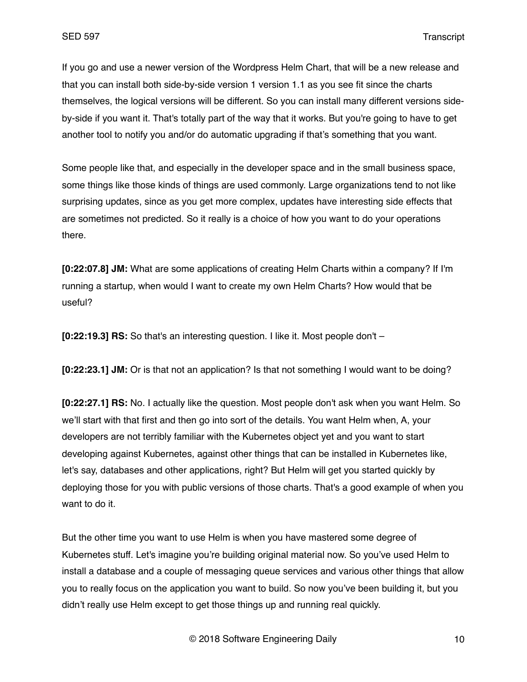If you go and use a newer version of the Wordpress Helm Chart, that will be a new release and that you can install both side-by-side version 1 version 1.1 as you see fit since the charts themselves, the logical versions will be different. So you can install many different versions sideby-side if you want it. That's totally part of the way that it works. But you're going to have to get another tool to notify you and/or do automatic upgrading if that's something that you want.

Some people like that, and especially in the developer space and in the small business space, some things like those kinds of things are used commonly. Large organizations tend to not like surprising updates, since as you get more complex, updates have interesting side effects that are sometimes not predicted. So it really is a choice of how you want to do your operations there.

**[0:22:07.8] JM:** What are some applications of creating Helm Charts within a company? If I'm running a startup, when would I want to create my own Helm Charts? How would that be useful?

**[0:22:19.3] RS:** So that's an interesting question. I like it. Most people don't –

**[0:22:23.1] JM:** Or is that not an application? Is that not something I would want to be doing?

**[0:22:27.1] RS:** No. I actually like the question. Most people don't ask when you want Helm. So we'll start with that first and then go into sort of the details. You want Helm when, A, your developers are not terribly familiar with the Kubernetes object yet and you want to start developing against Kubernetes, against other things that can be installed in Kubernetes like, let's say, databases and other applications, right? But Helm will get you started quickly by deploying those for you with public versions of those charts. That's a good example of when you want to do it.

But the other time you want to use Helm is when you have mastered some degree of Kubernetes stuff. Let's imagine you're building original material now. So you've used Helm to install a database and a couple of messaging queue services and various other things that allow you to really focus on the application you want to build. So now you've been building it, but you didn't really use Helm except to get those things up and running real quickly.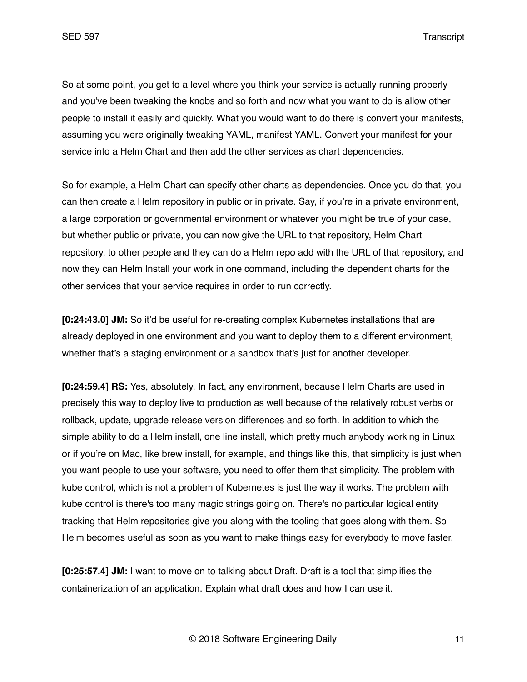So at some point, you get to a level where you think your service is actually running properly and you've been tweaking the knobs and so forth and now what you want to do is allow other people to install it easily and quickly. What you would want to do there is convert your manifests, assuming you were originally tweaking YAML, manifest YAML. Convert your manifest for your service into a Helm Chart and then add the other services as chart dependencies.

So for example, a Helm Chart can specify other charts as dependencies. Once you do that, you can then create a Helm repository in public or in private. Say, if you're in a private environment, a large corporation or governmental environment or whatever you might be true of your case, but whether public or private, you can now give the URL to that repository, Helm Chart repository, to other people and they can do a Helm repo add with the URL of that repository, and now they can Helm Install your work in one command, including the dependent charts for the other services that your service requires in order to run correctly.

**[0:24:43.0] JM:** So it'd be useful for re-creating complex Kubernetes installations that are already deployed in one environment and you want to deploy them to a different environment, whether that's a staging environment or a sandbox that's just for another developer.

**[0:24:59.4] RS:** Yes, absolutely. In fact, any environment, because Helm Charts are used in precisely this way to deploy live to production as well because of the relatively robust verbs or rollback, update, upgrade release version differences and so forth. In addition to which the simple ability to do a Helm install, one line install, which pretty much anybody working in Linux or if you're on Mac, like brew install, for example, and things like this, that simplicity is just when you want people to use your software, you need to offer them that simplicity. The problem with kube control, which is not a problem of Kubernetes is just the way it works. The problem with kube control is there's too many magic strings going on. There's no particular logical entity tracking that Helm repositories give you along with the tooling that goes along with them. So Helm becomes useful as soon as you want to make things easy for everybody to move faster.

**[0:25:57.4] JM:** I want to move on to talking about Draft. Draft is a tool that simplifies the containerization of an application. Explain what draft does and how I can use it.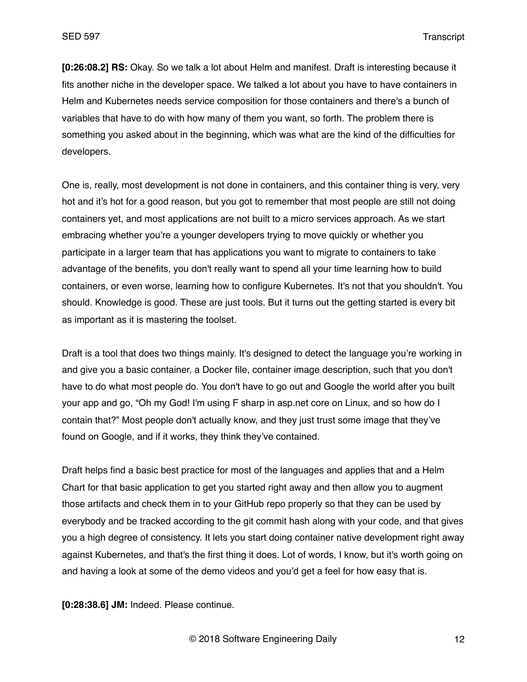**[0:26:08.2] RS:** Okay. So we talk a lot about Helm and manifest. Draft is interesting because it fits another niche in the developer space. We talked a lot about you have to have containers in Helm and Kubernetes needs service composition for those containers and there's a bunch of variables that have to do with how many of them you want, so forth. The problem there is something you asked about in the beginning, which was what are the kind of the difficulties for developers.

One is, really, most development is not done in containers, and this container thing is very, very hot and it's hot for a good reason, but you got to remember that most people are still not doing containers yet, and most applications are not built to a micro services approach. As we start embracing whether you're a younger developers trying to move quickly or whether you participate in a larger team that has applications you want to migrate to containers to take advantage of the benefits, you don't really want to spend all your time learning how to build containers, or even worse, learning how to configure Kubernetes. It's not that you shouldn't. You should. Knowledge is good. These are just tools. But it turns out the getting started is every bit as important as it is mastering the toolset.

Draft is a tool that does two things mainly. It's designed to detect the language you're working in and give you a basic container, a Docker file, container image description, such that you don't have to do what most people do. You don't have to go out and Google the world after you built your app and go, "Oh my God! I'm using F sharp in asp.net core on Linux, and so how do I contain that?" Most people don't actually know, and they just trust some image that they've found on Google, and if it works, they think they've contained.

Draft helps find a basic best practice for most of the languages and applies that and a Helm Chart for that basic application to get you started right away and then allow you to augment those artifacts and check them in to your GitHub repo properly so that they can be used by everybody and be tracked according to the git commit hash along with your code, and that gives you a high degree of consistency. It lets you start doing container native development right away against Kubernetes, and that's the first thing it does. Lot of words, I know, but it's worth going on and having a look at some of the demo videos and you'd get a feel for how easy that is.

**[0:28:38.6] JM:** Indeed. Please continue.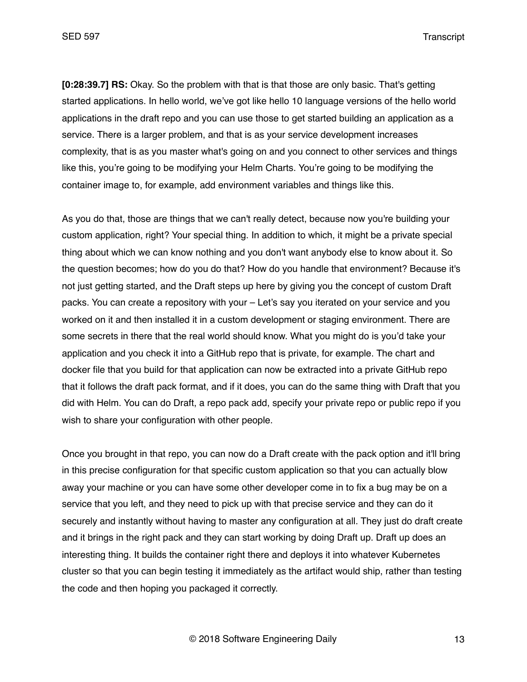**[0:28:39.7] RS:** Okay. So the problem with that is that those are only basic. That's getting started applications. In hello world, we've got like hello 10 language versions of the hello world applications in the draft repo and you can use those to get started building an application as a service. There is a larger problem, and that is as your service development increases complexity, that is as you master what's going on and you connect to other services and things like this, you're going to be modifying your Helm Charts. You're going to be modifying the container image to, for example, add environment variables and things like this.

As you do that, those are things that we can't really detect, because now you're building your custom application, right? Your special thing. In addition to which, it might be a private special thing about which we can know nothing and you don't want anybody else to know about it. So the question becomes; how do you do that? How do you handle that environment? Because it's not just getting started, and the Draft steps up here by giving you the concept of custom Draft packs. You can create a repository with your – Let's say you iterated on your service and you worked on it and then installed it in a custom development or staging environment. There are some secrets in there that the real world should know. What you might do is you'd take your application and you check it into a GitHub repo that is private, for example. The chart and docker file that you build for that application can now be extracted into a private GitHub repo that it follows the draft pack format, and if it does, you can do the same thing with Draft that you did with Helm. You can do Draft, a repo pack add, specify your private repo or public repo if you wish to share your configuration with other people.

Once you brought in that repo, you can now do a Draft create with the pack option and it'll bring in this precise configuration for that specific custom application so that you can actually blow away your machine or you can have some other developer come in to fix a bug may be on a service that you left, and they need to pick up with that precise service and they can do it securely and instantly without having to master any configuration at all. They just do draft create and it brings in the right pack and they can start working by doing Draft up. Draft up does an interesting thing. It builds the container right there and deploys it into whatever Kubernetes cluster so that you can begin testing it immediately as the artifact would ship, rather than testing the code and then hoping you packaged it correctly.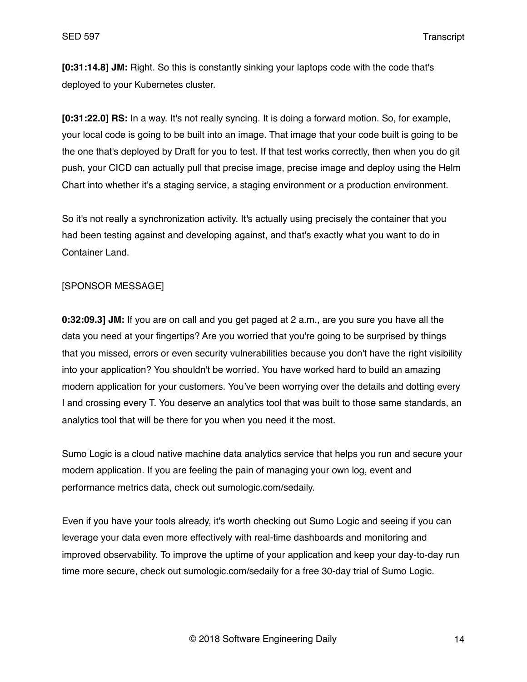**[0:31:14.8] JM:** Right. So this is constantly sinking your laptops code with the code that's deployed to your Kubernetes cluster.

**[0:31:22.0] RS:** In a way. It's not really syncing. It is doing a forward motion. So, for example, your local code is going to be built into an image. That image that your code built is going to be the one that's deployed by Draft for you to test. If that test works correctly, then when you do git push, your CICD can actually pull that precise image, precise image and deploy using the Helm Chart into whether it's a staging service, a staging environment or a production environment.

So it's not really a synchronization activity. It's actually using precisely the container that you had been testing against and developing against, and that's exactly what you want to do in Container Land.

# [SPONSOR MESSAGE]

**0:32:09.3] JM:** If you are on call and you get paged at 2 a.m., are you sure you have all the data you need at your fingertips? Are you worried that you're going to be surprised by things that you missed, errors or even security vulnerabilities because you don't have the right visibility into your application? You shouldn't be worried. You have worked hard to build an amazing modern application for your customers. You've been worrying over the details and dotting every I and crossing every T. You deserve an analytics tool that was built to those same standards, an analytics tool that will be there for you when you need it the most.

Sumo Logic is a cloud native machine data analytics service that helps you run and secure your modern application. If you are feeling the pain of managing your own log, event and performance metrics data, check out sumologic.com/sedaily.

Even if you have your tools already, it's worth checking out Sumo Logic and seeing if you can leverage your data even more effectively with real-time dashboards and monitoring and improved observability. To improve the uptime of your application and keep your day-to-day run time more secure, check out sumologic.com/sedaily for a free 30-day trial of Sumo Logic.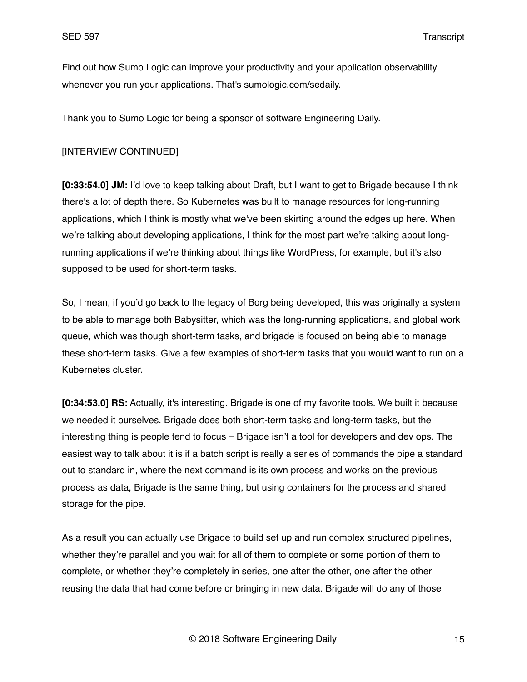Find out how Sumo Logic can improve your productivity and your application observability whenever you run your applications. That's sumologic.com/sedaily.

Thank you to Sumo Logic for being a sponsor of software Engineering Daily.

# [INTERVIEW CONTINUED]

**[0:33:54.0] JM:** I'd love to keep talking about Draft, but I want to get to Brigade because I think there's a lot of depth there. So Kubernetes was built to manage resources for long-running applications, which I think is mostly what we've been skirting around the edges up here. When we're talking about developing applications, I think for the most part we're talking about longrunning applications if we're thinking about things like WordPress, for example, but it's also supposed to be used for short-term tasks.

So, I mean, if you'd go back to the legacy of Borg being developed, this was originally a system to be able to manage both Babysitter, which was the long-running applications, and global work queue, which was though short-term tasks, and brigade is focused on being able to manage these short-term tasks. Give a few examples of short-term tasks that you would want to run on a Kubernetes cluster.

**[0:34:53.0] RS:** Actually, it's interesting. Brigade is one of my favorite tools. We built it because we needed it ourselves. Brigade does both short-term tasks and long-term tasks, but the interesting thing is people tend to focus – Brigade isn't a tool for developers and dev ops. The easiest way to talk about it is if a batch script is really a series of commands the pipe a standard out to standard in, where the next command is its own process and works on the previous process as data, Brigade is the same thing, but using containers for the process and shared storage for the pipe.

As a result you can actually use Brigade to build set up and run complex structured pipelines, whether they're parallel and you wait for all of them to complete or some portion of them to complete, or whether they're completely in series, one after the other, one after the other reusing the data that had come before or bringing in new data. Brigade will do any of those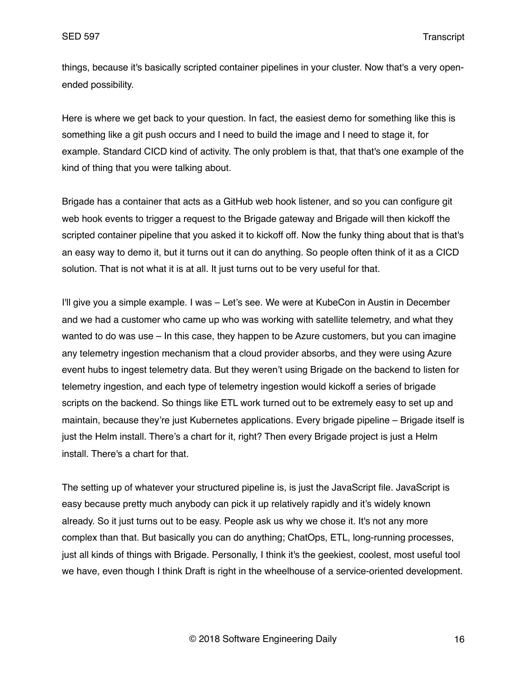things, because it's basically scripted container pipelines in your cluster. Now that's a very openended possibility.

Here is where we get back to your question. In fact, the easiest demo for something like this is something like a git push occurs and I need to build the image and I need to stage it, for example. Standard CICD kind of activity. The only problem is that, that that's one example of the kind of thing that you were talking about.

Brigade has a container that acts as a GitHub web hook listener, and so you can configure git web hook events to trigger a request to the Brigade gateway and Brigade will then kickoff the scripted container pipeline that you asked it to kickoff off. Now the funky thing about that is that's an easy way to demo it, but it turns out it can do anything. So people often think of it as a CICD solution. That is not what it is at all. It just turns out to be very useful for that.

I'll give you a simple example. I was – Let's see. We were at KubeCon in Austin in December and we had a customer who came up who was working with satellite telemetry, and what they wanted to do was use – In this case, they happen to be Azure customers, but you can imagine any telemetry ingestion mechanism that a cloud provider absorbs, and they were using Azure event hubs to ingest telemetry data. But they weren't using Brigade on the backend to listen for telemetry ingestion, and each type of telemetry ingestion would kickoff a series of brigade scripts on the backend. So things like ETL work turned out to be extremely easy to set up and maintain, because they're just Kubernetes applications. Every brigade pipeline – Brigade itself is just the Helm install. There's a chart for it, right? Then every Brigade project is just a Helm install. There's a chart for that.

The setting up of whatever your structured pipeline is, is just the JavaScript file. JavaScript is easy because pretty much anybody can pick it up relatively rapidly and it's widely known already. So it just turns out to be easy. People ask us why we chose it. It's not any more complex than that. But basically you can do anything; ChatOps, ETL, long-running processes, just all kinds of things with Brigade. Personally, I think it's the geekiest, coolest, most useful tool we have, even though I think Draft is right in the wheelhouse of a service-oriented development.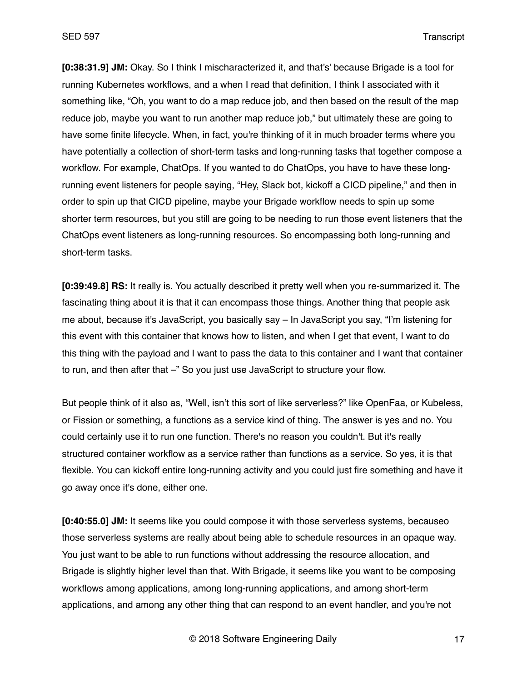**[0:38:31.9] JM:** Okay. So I think I mischaracterized it, and that's' because Brigade is a tool for running Kubernetes workflows, and a when I read that definition, I think I associated with it something like, "Oh, you want to do a map reduce job, and then based on the result of the map reduce job, maybe you want to run another map reduce job," but ultimately these are going to have some finite lifecycle. When, in fact, you're thinking of it in much broader terms where you have potentially a collection of short-term tasks and long-running tasks that together compose a workflow. For example, ChatOps. If you wanted to do ChatOps, you have to have these longrunning event listeners for people saying, "Hey, Slack bot, kickoff a CICD pipeline," and then in order to spin up that CICD pipeline, maybe your Brigade workflow needs to spin up some shorter term resources, but you still are going to be needing to run those event listeners that the ChatOps event listeners as long-running resources. So encompassing both long-running and short-term tasks.

**[0:39:49.8] RS:** It really is. You actually described it pretty well when you re-summarized it. The fascinating thing about it is that it can encompass those things. Another thing that people ask me about, because it's JavaScript, you basically say – In JavaScript you say, "I'm listening for this event with this container that knows how to listen, and when I get that event, I want to do this thing with the payload and I want to pass the data to this container and I want that container to run, and then after that –" So you just use JavaScript to structure your flow.

But people think of it also as, "Well, isn't this sort of like serverless?" like OpenFaa, or Kubeless, or Fission or something, a functions as a service kind of thing. The answer is yes and no. You could certainly use it to run one function. There's no reason you couldn't. But it's really structured container workflow as a service rather than functions as a service. So yes, it is that flexible. You can kickoff entire long-running activity and you could just fire something and have it go away once it's done, either one.

**[0:40:55.0] JM:** It seems like you could compose it with those serverless systems, becauseo those serverless systems are really about being able to schedule resources in an opaque way. You just want to be able to run functions without addressing the resource allocation, and Brigade is slightly higher level than that. With Brigade, it seems like you want to be composing workflows among applications, among long-running applications, and among short-term applications, and among any other thing that can respond to an event handler, and you're not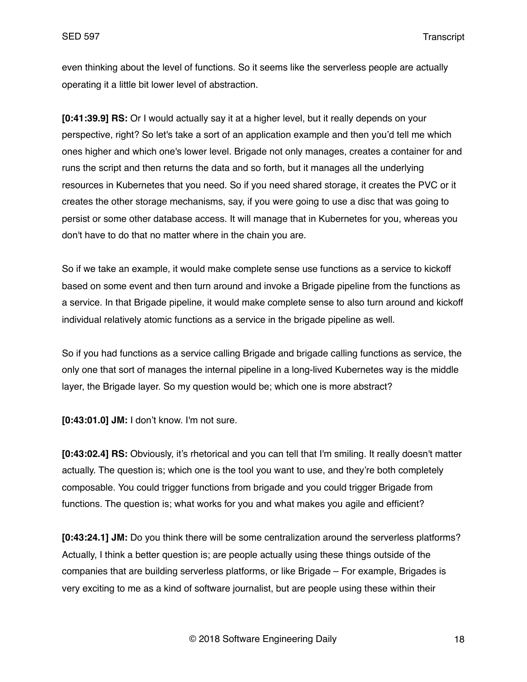even thinking about the level of functions. So it seems like the serverless people are actually operating it a little bit lower level of abstraction.

**[0:41:39.9] RS:** Or I would actually say it at a higher level, but it really depends on your perspective, right? So let's take a sort of an application example and then you'd tell me which ones higher and which one's lower level. Brigade not only manages, creates a container for and runs the script and then returns the data and so forth, but it manages all the underlying resources in Kubernetes that you need. So if you need shared storage, it creates the PVC or it creates the other storage mechanisms, say, if you were going to use a disc that was going to persist or some other database access. It will manage that in Kubernetes for you, whereas you don't have to do that no matter where in the chain you are.

So if we take an example, it would make complete sense use functions as a service to kickoff based on some event and then turn around and invoke a Brigade pipeline from the functions as a service. In that Brigade pipeline, it would make complete sense to also turn around and kickoff individual relatively atomic functions as a service in the brigade pipeline as well.

So if you had functions as a service calling Brigade and brigade calling functions as service, the only one that sort of manages the internal pipeline in a long-lived Kubernetes way is the middle layer, the Brigade layer. So my question would be; which one is more abstract?

**[0:43:01.0] JM:** I don't know. I'm not sure.

**[0:43:02.4] RS:** Obviously, it's rhetorical and you can tell that I'm smiling. It really doesn't matter actually. The question is; which one is the tool you want to use, and they're both completely composable. You could trigger functions from brigade and you could trigger Brigade from functions. The question is; what works for you and what makes you agile and efficient?

**[0:43:24.1] JM:** Do you think there will be some centralization around the serverless platforms? Actually, I think a better question is; are people actually using these things outside of the companies that are building serverless platforms, or like Brigade – For example, Brigades is very exciting to me as a kind of software journalist, but are people using these within their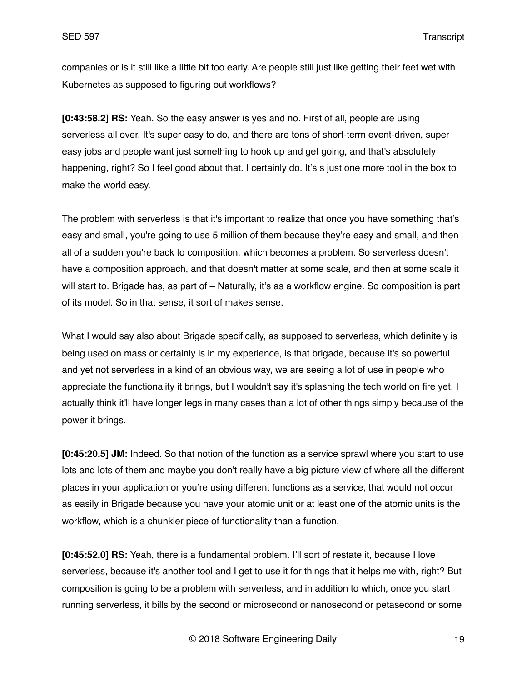companies or is it still like a little bit too early. Are people still just like getting their feet wet with Kubernetes as supposed to figuring out workflows?

**[0:43:58.2] RS:** Yeah. So the easy answer is yes and no. First of all, people are using serverless all over. It's super easy to do, and there are tons of short-term event-driven, super easy jobs and people want just something to hook up and get going, and that's absolutely happening, right? So I feel good about that. I certainly do. It's s just one more tool in the box to make the world easy.

The problem with serverless is that it's important to realize that once you have something that's easy and small, you're going to use 5 million of them because they're easy and small, and then all of a sudden you're back to composition, which becomes a problem. So serverless doesn't have a composition approach, and that doesn't matter at some scale, and then at some scale it will start to. Brigade has, as part of – Naturally, it's as a workflow engine. So composition is part of its model. So in that sense, it sort of makes sense.

What I would say also about Brigade specifically, as supposed to serverless, which definitely is being used on mass or certainly is in my experience, is that brigade, because it's so powerful and yet not serverless in a kind of an obvious way, we are seeing a lot of use in people who appreciate the functionality it brings, but I wouldn't say it's splashing the tech world on fire yet. I actually think it'll have longer legs in many cases than a lot of other things simply because of the power it brings.

**[0:45:20.5] JM:** Indeed. So that notion of the function as a service sprawl where you start to use lots and lots of them and maybe you don't really have a big picture view of where all the different places in your application or you're using different functions as a service, that would not occur as easily in Brigade because you have your atomic unit or at least one of the atomic units is the workflow, which is a chunkier piece of functionality than a function.

**[0:45:52.0] RS:** Yeah, there is a fundamental problem. I'll sort of restate it, because I love serverless, because it's another tool and I get to use it for things that it helps me with, right? But composition is going to be a problem with serverless, and in addition to which, once you start running serverless, it bills by the second or microsecond or nanosecond or petasecond or some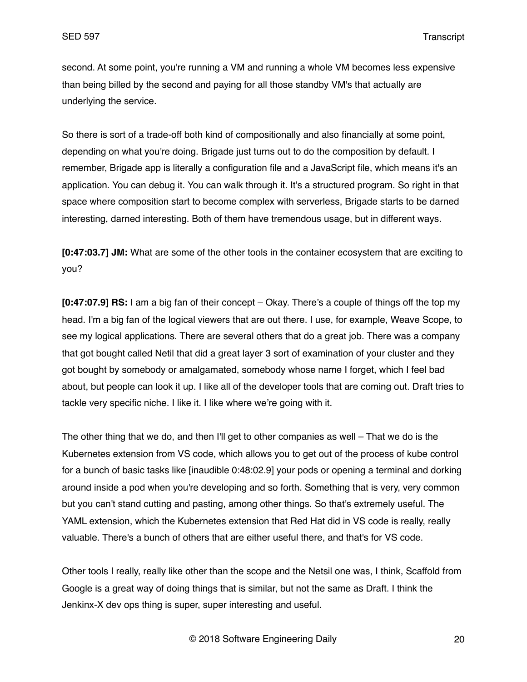second. At some point, you're running a VM and running a whole VM becomes less expensive than being billed by the second and paying for all those standby VM's that actually are underlying the service.

So there is sort of a trade-off both kind of compositionally and also financially at some point, depending on what you're doing. Brigade just turns out to do the composition by default. I remember, Brigade app is literally a configuration file and a JavaScript file, which means it's an application. You can debug it. You can walk through it. It's a structured program. So right in that space where composition start to become complex with serverless, Brigade starts to be darned interesting, darned interesting. Both of them have tremendous usage, but in different ways.

**[0:47:03.7] JM:** What are some of the other tools in the container ecosystem that are exciting to you?

**[0:47:07.9] RS:** I am a big fan of their concept – Okay. There's a couple of things off the top my head. I'm a big fan of the logical viewers that are out there. I use, for example, Weave Scope, to see my logical applications. There are several others that do a great job. There was a company that got bought called Netil that did a great layer 3 sort of examination of your cluster and they got bought by somebody or amalgamated, somebody whose name I forget, which I feel bad about, but people can look it up. I like all of the developer tools that are coming out. Draft tries to tackle very specific niche. I like it. I like where we're going with it.

The other thing that we do, and then I'll get to other companies as well – That we do is the Kubernetes extension from VS code, which allows you to get out of the process of kube control for a bunch of basic tasks like [inaudible 0:48:02.9] your pods or opening a terminal and dorking around inside a pod when you're developing and so forth. Something that is very, very common but you can't stand cutting and pasting, among other things. So that's extremely useful. The YAML extension, which the Kubernetes extension that Red Hat did in VS code is really, really valuable. There's a bunch of others that are either useful there, and that's for VS code.

Other tools I really, really like other than the scope and the Netsil one was, I think, Scaffold from Google is a great way of doing things that is similar, but not the same as Draft. I think the Jenkinx-X dev ops thing is super, super interesting and useful.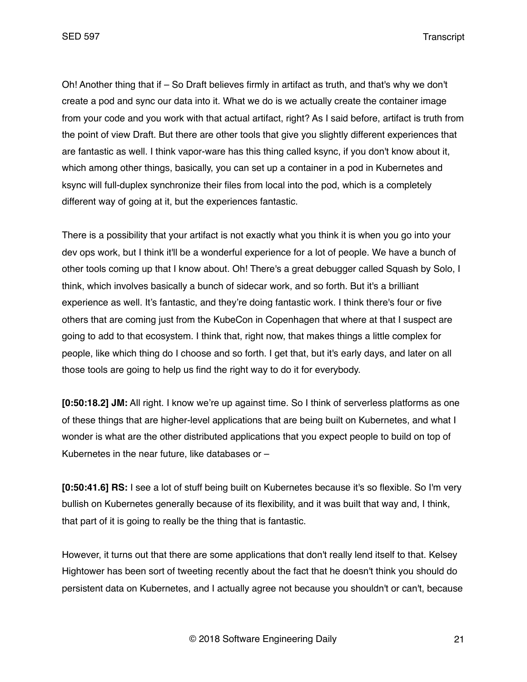Oh! Another thing that if – So Draft believes firmly in artifact as truth, and that's why we don't create a pod and sync our data into it. What we do is we actually create the container image from your code and you work with that actual artifact, right? As I said before, artifact is truth from the point of view Draft. But there are other tools that give you slightly different experiences that are fantastic as well. I think vapor-ware has this thing called ksync, if you don't know about it, which among other things, basically, you can set up a container in a pod in Kubernetes and ksync will full-duplex synchronize their files from local into the pod, which is a completely different way of going at it, but the experiences fantastic.

There is a possibility that your artifact is not exactly what you think it is when you go into your dev ops work, but I think it'll be a wonderful experience for a lot of people. We have a bunch of other tools coming up that I know about. Oh! There's a great debugger called Squash by Solo, I think, which involves basically a bunch of sidecar work, and so forth. But it's a brilliant experience as well. It's fantastic, and they're doing fantastic work. I think there's four or five others that are coming just from the KubeCon in Copenhagen that where at that I suspect are going to add to that ecosystem. I think that, right now, that makes things a little complex for people, like which thing do I choose and so forth. I get that, but it's early days, and later on all those tools are going to help us find the right way to do it for everybody.

**[0:50:18.2] JM:** All right. I know we're up against time. So I think of serverless platforms as one of these things that are higher-level applications that are being built on Kubernetes, and what I wonder is what are the other distributed applications that you expect people to build on top of Kubernetes in the near future, like databases or –

**[0:50:41.6] RS:** I see a lot of stuff being built on Kubernetes because it's so flexible. So I'm very bullish on Kubernetes generally because of its flexibility, and it was built that way and, I think, that part of it is going to really be the thing that is fantastic.

However, it turns out that there are some applications that don't really lend itself to that. Kelsey Hightower has been sort of tweeting recently about the fact that he doesn't think you should do persistent data on Kubernetes, and I actually agree not because you shouldn't or can't, because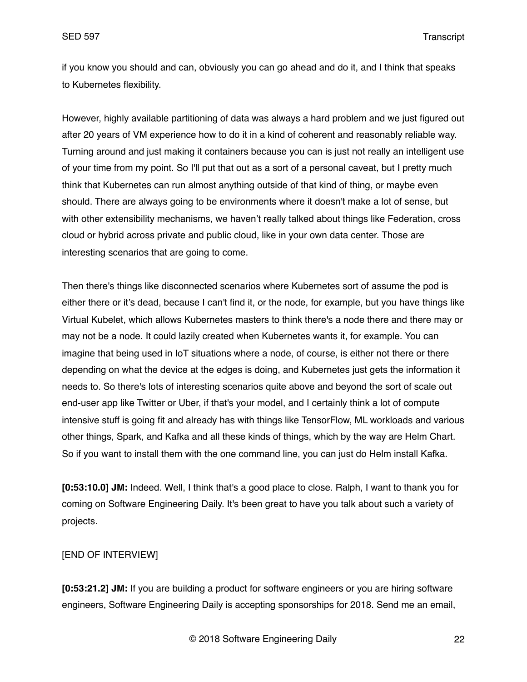if you know you should and can, obviously you can go ahead and do it, and I think that speaks to Kubernetes flexibility.

However, highly available partitioning of data was always a hard problem and we just figured out after 20 years of VM experience how to do it in a kind of coherent and reasonably reliable way. Turning around and just making it containers because you can is just not really an intelligent use of your time from my point. So I'll put that out as a sort of a personal caveat, but I pretty much think that Kubernetes can run almost anything outside of that kind of thing, or maybe even should. There are always going to be environments where it doesn't make a lot of sense, but with other extensibility mechanisms, we haven't really talked about things like Federation, cross cloud or hybrid across private and public cloud, like in your own data center. Those are interesting scenarios that are going to come.

Then there's things like disconnected scenarios where Kubernetes sort of assume the pod is either there or it's dead, because I can't find it, or the node, for example, but you have things like Virtual Kubelet, which allows Kubernetes masters to think there's a node there and there may or may not be a node. It could lazily created when Kubernetes wants it, for example. You can imagine that being used in IoT situations where a node, of course, is either not there or there depending on what the device at the edges is doing, and Kubernetes just gets the information it needs to. So there's lots of interesting scenarios quite above and beyond the sort of scale out end-user app like Twitter or Uber, if that's your model, and I certainly think a lot of compute intensive stuff is going fit and already has with things like TensorFlow, ML workloads and various other things, Spark, and Kafka and all these kinds of things, which by the way are Helm Chart. So if you want to install them with the one command line, you can just do Helm install Kafka.

**[0:53:10.0] JM:** Indeed. Well, I think that's a good place to close. Ralph, I want to thank you for coming on Software Engineering Daily. It's been great to have you talk about such a variety of projects.

## [END OF INTERVIEW]

**[0:53:21.2] JM:** If you are building a product for software engineers or you are hiring software engineers, Software Engineering Daily is accepting sponsorships for 2018. Send me an email,